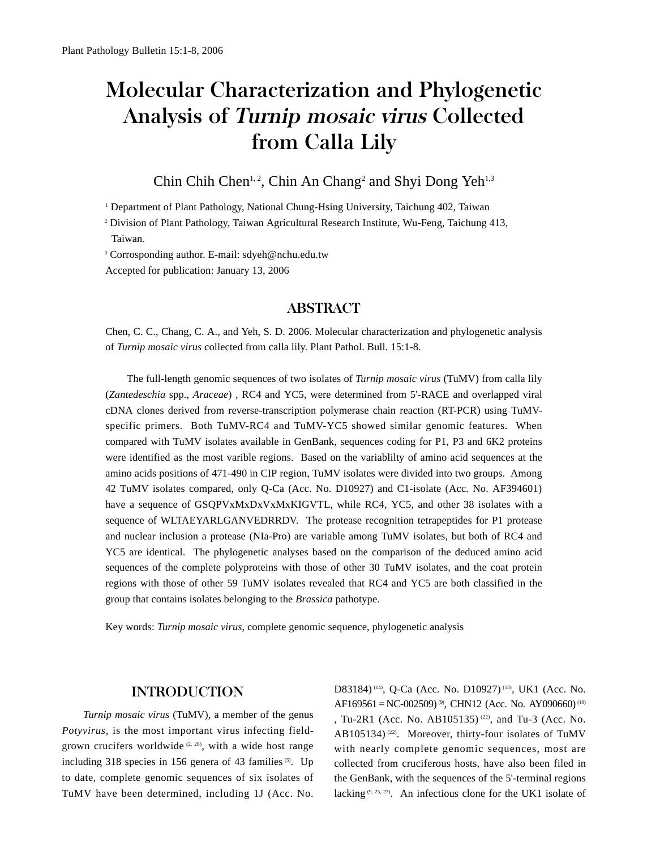# Molecular Characterization and Phylogenetic Analysis of Turnip mosaic virus Collected from Calla Lily

# Chin Chih Chen<sup>1, 2</sup>, Chin An Chang<sup>2</sup> and Shyi Dong Yeh<sup>1,3</sup>

<sup>1</sup> Department of Plant Pathology, National Chung-Hsing University, Taichung 402, Taiwan

2 Division of Plant Pathology, Taiwan Agricultural Research Institute, Wu-Feng, Taichung 413, Taiwan.

<sup>3</sup> Corrosponding author. E-mail: sdyeh@nchu.edu.tw

Accepted for publication: January 13, 2006

## ABSTRACT

Chen, C. C., Chang, C. A., and Yeh, S. D. 2006. Molecular characterization and phylogenetic analysis of *Turnip mosaic virus* collected from calla lily. Plant Pathol. Bull. 15:1-8.

The full-length genomic sequences of two isolates of *Turnip mosaic virus* (TuMV) from calla lily (*Zantedeschia* spp., *Araceae*) , RC4 and YC5, were determined from 5'-RACE and overlapped viral cDNA clones derived from reverse-transcription polymerase chain reaction (RT-PCR) using TuMVspecific primers. Both TuMV-RC4 and TuMV-YC5 showed similar genomic features. When compared with TuMV isolates available in GenBank, sequences coding for P1, P3 and 6K2 proteins were identified as the most varible regions. Based on the variablilty of amino acid sequences at the amino acids positions of 471-490 in CIP region, TuMV isolates were divided into two groups. Among 42 TuMV isolates compared, only Q-Ca (Acc. No. D10927) and C1-isolate (Acc. No. AF394601) have a sequence of GSQPVxMxDxVxMxKIGVTL, while RC4, YC5, and other 38 isolates with a sequence of WLTAEYARLGANVEDRRDV. The protease recognition tetrapeptides for P1 protease and nuclear inclusion a protease (NIa-Pro) are variable among TuMV isolates, but both of RC4 and YC5 are identical. The phylogenetic analyses based on the comparison of the deduced amino acid sequences of the complete polyproteins with those of other 30 TuMV isolates, and the coat protein regions with those of other 59 TuMV isolates revealed that RC4 and YC5 are both classified in the group that contains isolates belonging to the *Brassica* pathotype.

Key words: *Turnip mosaic virus*, complete genomic sequence, phylogenetic analysis

### INTRODUCTION

*Turnip mosaic virus* (TuMV), a member of the genus *Potyvirus*, is the most important virus infecting fieldgrown crucifers worldwide<sup>(2, 26)</sup>, with a wide host range including 318 species in 156 genera of 43 families<sup>(3)</sup>. Up to date, complete genomic sequences of six isolates of TuMV have been determined, including 1J (Acc. No.

D83184)<sup>(14)</sup>, Q-Ca (Acc. No. D10927)<sup>(13)</sup>, UK1 (Acc. No. AF169561 = NC-002509)<sup>(9)</sup>, CHN12 (Acc. No. AY090660)<sup>(10)</sup> , Tu-2R1 (Acc. No. AB105135)<sup>(22)</sup>, and Tu-3 (Acc. No. AB105134)<sup>(22)</sup>. Moreover, thirty-four isolates of TuMV with nearly complete genomic sequences, most are collected from cruciferous hosts, have also been filed in the GenBank, with the sequences of the 5'-terminal regions lacking  $(9, 25, 27)$ . An infectious clone for the UK1 isolate of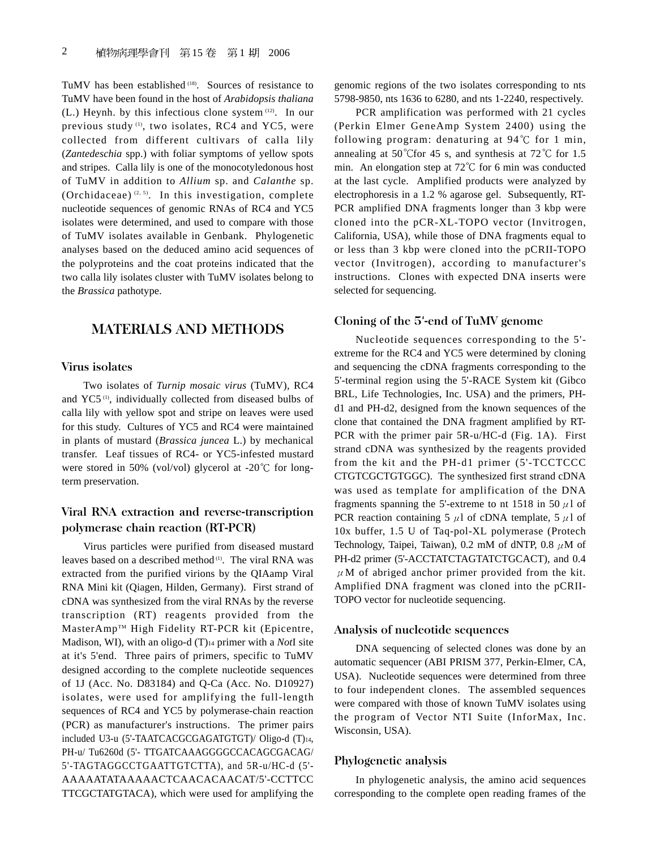TuMV has been established (18). Sources of resistance to TuMV have been found in the host of *Arabidopsis thaliana* (L.) Heynh. by this infectious clone system (12). In our previous study<sup>(1)</sup>, two isolates, RC4 and YC5, were collected from different cultivars of calla lily (*Zantedeschia* spp.) with foliar symptoms of yellow spots and stripes. Calla lily is one of the monocotyledonous host of TuMV in addition to *Allium* sp. and *Calanthe* sp. (Orchidaceae)  $(2, 5)$ . In this investigation, complete nucleotide sequences of genomic RNAs of RC4 and YC5 isolates were determined, and used to compare with those of TuMV isolates available in Genbank. Phylogenetic analyses based on the deduced amino acid sequences of the polyproteins and the coat proteins indicated that the two calla lily isolates cluster with TuMV isolates belong to the *Brassica* pathotype.

# MATERIALS AND METHODS

### Virus isolates

Two isolates of *Turnip mosaic virus* (TuMV), RC4 and YC5 (1), individually collected from diseased bulbs of calla lily with yellow spot and stripe on leaves were used for this study. Cultures of YC5 and RC4 were maintained in plants of mustard (*Brassica juncea* L.) by mechanical transfer. Leaf tissues of RC4- or YC5-infested mustard were stored in 50% (vol/vol) glycerol at -20 $\degree$ C for longterm preservation.

## Viral RNA extraction and reverse-transcription polymerase chain reaction (RT-PCR)

Virus particles were purified from diseased mustard leaves based on a described method (1). The viral RNA was extracted from the purified virions by the QIAamp Viral RNA Mini kit (Qiagen, Hilden, Germany). First strand of cDNA was synthesized from the viral RNAs by the reverse transcription (RT) reagents provided from the MasterAmp™ High Fidelity RT-PCR kit (Epicentre, Madison, WI), with an oligo-d (T)14 primer with a *Not*I site at it's 5'end. Three pairs of primers, specific to TuMV designed according to the complete nucleotide sequences of 1J (Acc. No. D83184) and Q-Ca (Acc. No. D10927) isolates, were used for amplifying the full-length sequences of RC4 and YC5 by polymerase-chain reaction (PCR) as manufacturer's instructions. The primer pairs included U3-u (5'-TAATCACGCGAGATGTGT)/ Oligo-d (T)14, PH-u/Tu6260d (5'- TTGATCAAAGGGGCCACAGCGACAG/ 5'-TAGTAGGCCTGAATTGTCTTA), and 5R-u/HC-d (5'- AAAAATATAAAAACTCAACACAACAT/5'-CCTTCC TTCGCTATGTACA), which were used for amplifying the genomic regions of the two isolates corresponding to nts 5798-9850, nts 1636 to 6280, and nts 1-2240, respectively.

PCR amplification was performed with 21 cycles (Perkin Elmer GeneAmp System 2400) using the following program: denaturing at  $94^{\circ}$ C for 1 min, annealing at 50 °C for 45 s, and synthesis at 72 °C for 1.5 min. An elongation step at  $72^{\circ}$  for 6 min was conducted at the last cycle. Amplified products were analyzed by electrophoresis in a 1.2 % agarose gel. Subsequently, RT-PCR amplified DNA fragments longer than 3 kbp were cloned into the pCR-XL-TOPO vector (Invitrogen, California, USA), while those of DNA fragments equal to or less than 3 kbp were cloned into the pCRII-TOPO vector (Invitrogen), according to manufacturer's instructions. Clones with expected DNA inserts were selected for sequencing.

#### Cloning of the 5'-end of TuMV genome

Nucleotide sequences corresponding to the 5' extreme for the RC4 and YC5 were determined by cloning and sequencing the cDNA fragments corresponding to the 5'-terminal region using the 5'-RACE System kit (Gibco BRL, Life Technologies, Inc. USA) and the primers, PHd1 and PH-d2, designed from the known sequences of the clone that contained the DNA fragment amplified by RT-PCR with the primer pair 5R-u/HC-d (Fig. 1A). First strand cDNA was synthesized by the reagents provided from the kit and the PH-d1 primer (5'-TCCTCCC CTGTCGCTGTGGC). The synthesized first strand cDNA was used as template for amplification of the DNA fragments spanning the 5'-extreme to nt 1518 in 50  $\mu$ 1 of PCR reaction containing 5  $\mu$ 1 of cDNA template, 5  $\mu$ 1 of 10x buffer, 1.5 U of Taq-pol-XL polymerase (Protech Technology, Taipei, Taiwan), 0.2 mM of dNTP, 0.8  $\mu$ M of PH-d2 primer (5'-ACCTATCTAGTATCTGCACT), and 0.4  $\mu$ M of abriged anchor primer provided from the kit. Amplified DNA fragment was cloned into the pCRII-TOPO vector for nucleotide sequencing.

### Analysis of nucleotide sequences

DNA sequencing of selected clones was done by an automatic sequencer (ABI PRISM 377, Perkin-Elmer, CA, USA). Nucleotide sequences were determined from three to four independent clones. The assembled sequences were compared with those of known TuMV isolates using the program of Vector NTI Suite (InforMax, Inc. Wisconsin, USA).

#### Phylogenetic analysis

In phylogenetic analysis, the amino acid sequences corresponding to the complete open reading frames of the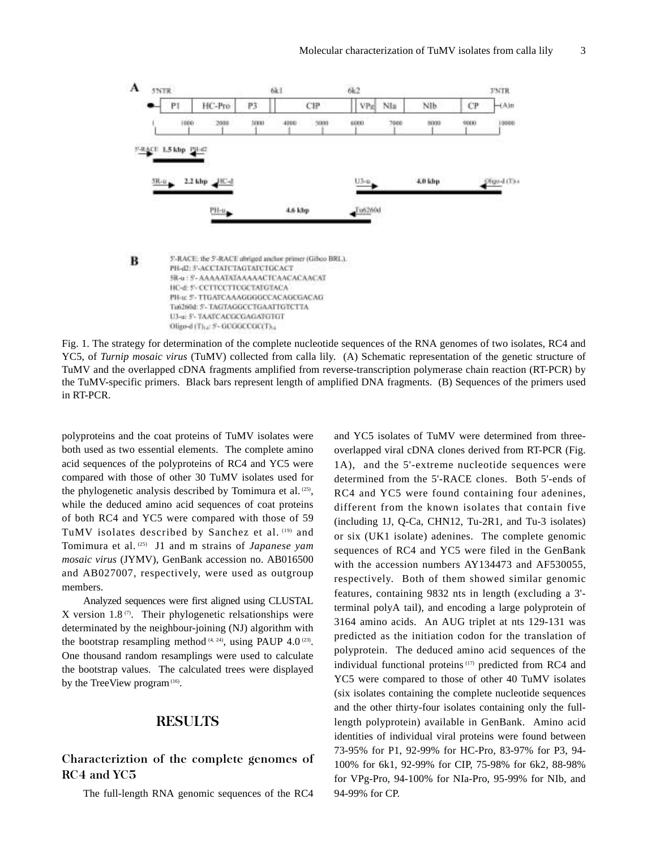

B S-RACE: the S-RACE abriged anchor primer (Gibco BRL). PH-42: 5'-ACCTATCTAGTATCTGCACT 5R-u : S- AAAAATATAAAAACTCAACACAACAT НС-е 5- ССТТССТТСGCTATGTACA PH-tr 5-TTGATCAAAGGGGCCACAGCGACAG Tu6260d: S- TAGTAGGCCTGAATTGTCTTA U3-a: 5'- TAATCACGCGAGATGTGT Oligo-d (That 5'- GCOOCCOOCT) a

Fig. 1. The strategy for determination of the complete nucleotide sequences of the RNA genomes of two isolates, RC4 and YC5, of *Turnip mosaic virus* (TuMV) collected from calla lily. (A) Schematic representation of the genetic structure of TuMV and the overlapped cDNA fragments amplified from reverse-transcription polymerase chain reaction (RT-PCR) by the TuMV-specific primers. Black bars represent length of amplified DNA fragments. (B) Sequences of the primers used in RT-PCR.

polyproteins and the coat proteins of TuMV isolates were both used as two essential elements. The complete amino acid sequences of the polyproteins of RC4 and YC5 were compared with those of other 30 TuMV isolates used for the phylogenetic analysis described by Tomimura et al. (25), while the deduced amino acid sequences of coat proteins of both RC4 and YC5 were compared with those of 59 TuMV isolates described by Sanchez et al. (19) and Tomimura et al. (25) J1 and m strains of *Japanese yam mosaic virus* (JYMV), GenBank accession no. AB016500 and AB027007, respectively, were used as outgroup members.

Analyzed sequences were first aligned using CLUSTAL X version 1.8 $\sigma$ ). Their phylogenetic relsationships were determinated by the neighbour-joining (NJ) algorithm with the bootstrap resampling method  $(4, 24)$ , using PAUP 4.0  $(23)$ . One thousand random resamplings were used to calculate the bootstrap values. The calculated trees were displayed by the TreeView program $(16)$ .

# RESULTS

## Characteriztion of the complete genomes of RC4 and YC5

The full-length RNA genomic sequences of the RC4

and YC5 isolates of TuMV were determined from threeoverlapped viral cDNA clones derived from RT-PCR (Fig. 1A), and the 5'-extreme nucleotide sequences were determined from the 5'-RACE clones. Both 5'-ends of RC4 and YC5 were found containing four adenines, different from the known isolates that contain five (including 1J, Q-Ca, CHN12, Tu-2R1, and Tu-3 isolates) or six (UK1 isolate) adenines. The complete genomic sequences of RC4 and YC5 were filed in the GenBank with the accession numbers AY134473 and AF530055, respectively. Both of them showed similar genomic features, containing 9832 nts in length (excluding a 3' terminal polyA tail), and encoding a large polyprotein of 3164 amino acids. An AUG triplet at nts 129-131 was predicted as the initiation codon for the translation of polyprotein. The deduced amino acid sequences of the individual functional proteins<sup>(17)</sup> predicted from RC4 and YC5 were compared to those of other 40 TuMV isolates (six isolates containing the complete nucleotide sequences and the other thirty-four isolates containing only the fulllength polyprotein) available in GenBank. Amino acid identities of individual viral proteins were found between 73-95% for P1, 92-99% for HC-Pro, 83-97% for P3, 94- 100% for 6k1, 92-99% for CIP, 75-98% for 6k2, 88-98% for VPg-Pro, 94-100% for NIa-Pro, 95-99% for NIb, and 94-99% for CP.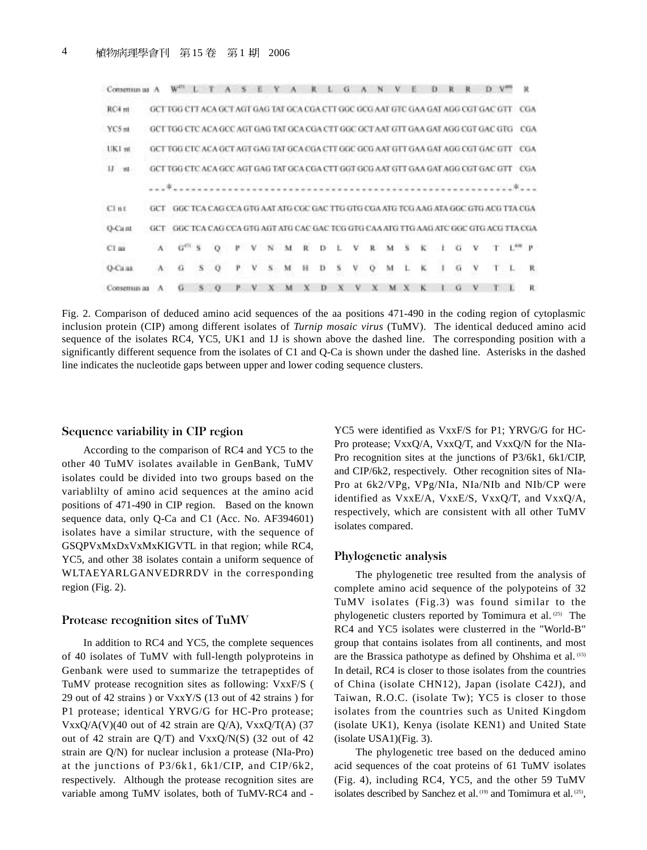| Consensus as A |           |                                                                                           |   |   |   |       |    |   |    |    |   |   |  |                             |   |              |                                                                                     |     |
|----------------|-----------|-------------------------------------------------------------------------------------------|---|---|---|-------|----|---|----|----|---|---|--|-----------------------------|---|--------------|-------------------------------------------------------------------------------------|-----|
| RC4 mt         |           | GCT TGG CTT ACA GCT AGT GAG TAT GCA CGA CTT GGC GCG AAT GTC GAA GAT AGG CGT GAC GTT CGA   |   |   |   |       |    |   |    |    |   |   |  |                             |   |              |                                                                                     |     |
| YC5 nt         |           | GCT TOG CTC ACA GCC AGT GAG TAT GCA CGA CTT GGC GCT AAT GTT GAA GAT AGG CGT GAC GTG CGA   |   |   |   |       |    |   |    |    |   |   |  |                             |   |              |                                                                                     |     |
| LIK1 mt        |           | GET TOG CTC ACA GET AGT GAG TAT GCA CGA CTT GGC GCG AAT GTT GAA GAT AGG CGT GAC GTT . CGA |   |   |   |       |    |   |    |    |   |   |  |                             |   |              |                                                                                     |     |
| $11 - m$       |           | GCT TGG-CTC ACA GCC AGT GAG TAT GCA CGA CTT GGT GCG AAT GTT GAA GAT AGG CGT GAC GTT -     |   |   |   |       |    |   |    |    |   |   |  |                             |   |              |                                                                                     | CGA |
|                |           |                                                                                           |   |   |   |       |    |   |    |    |   |   |  |                             |   |              |                                                                                     |     |
| C1n1           | GCT       |                                                                                           |   |   |   |       |    |   |    |    |   |   |  |                             |   |              | GGC TCA CAG CCA GTG AAT ATG CGC GAC TTG GTG CGA ATG TCG AAG ATA GGC GTG ACG TTA CGA |     |
| Q-Cant         |           | GCT - GGC TCA CAG CCA GTG AGT ATG CAC GAC TCG GTG CAA ATG TTG AAG ATC GGC GTG ACG TTA CGA |   |   |   |       |    |   |    |    |   |   |  |                             |   |              |                                                                                     |     |
| $C1$ as        |           | $A = G(1)$ S                                                                              |   |   |   |       |    |   |    |    |   |   |  | P V N M R D L V R M S K I G |   | $\mathbf{V}$ | $T = 1^{400}$ P                                                                     |     |
| O-Ca aa        | $\Lambda$ | G                                                                                         | s | Ρ | v | $S$ M | н. | D | s. | V. | 0 | M |  | ĸ                           | G |              |                                                                                     | R   |
| Consensus an   |           |                                                                                           |   |   |   |       |    |   | x  |    |   |   |  |                             |   |              |                                                                                     | R   |

Fig. 2. Comparison of deduced amino acid sequences of the aa positions 471-490 in the coding region of cytoplasmic inclusion protein (CIP) among different isolates of *Turnip mosaic virus* (TuMV). The identical deduced amino acid sequence of the isolates RC4, YC5, UK1 and 1J is shown above the dashed line. The corresponding position with a significantly different sequence from the isolates of C1 and Q-Ca is shown under the dashed line. Asterisks in the dashed line indicates the nucleotide gaps between upper and lower coding sequence clusters.

#### Sequence variability in CIP region

According to the comparison of RC4 and YC5 to the other 40 TuMV isolates available in GenBank, TuMV isolates could be divided into two groups based on the variablilty of amino acid sequences at the amino acid positions of 471-490 in CIP region. Based on the known sequence data, only Q-Ca and C1 (Acc. No. AF394601) isolates have a similar structure, with the sequence of GSQPVxMxDxVxMxKIGVTL in that region; while RC4, YC5, and other 38 isolates contain a uniform sequence of WLTAEYARLGANVEDRRDV in the corresponding region (Fig. 2).

#### Protease recognition sites of TuMV

In addition to RC4 and YC5, the complete sequences of 40 isolates of TuMV with full-length polyproteins in Genbank were used to summarize the tetrapeptides of TuMV protease recognition sites as following: VxxF/S ( 29 out of 42 strains ) or VxxY/S (13 out of 42 strains ) for P1 protease; identical YRVG/G for HC-Pro protease;  $VxxQ/A(V)(40$  out of 42 strain are  $Q/A$ ),  $VxxQ/T(A)$  (37 out of 42 strain are  $Q/T$ ) and  $VxxQ/N(S)$  (32 out of 42 strain are Q/N) for nuclear inclusion a protease (NIa-Pro) at the junctions of P3/6k1, 6k1/CIP, and CIP/6k2, respectively. Although the protease recognition sites are variable among TuMV isolates, both of TuMV-RC4 and -

YC5 were identified as VxxF/S for P1; YRVG/G for HC-Pro protease; VxxQ/A, VxxQ/T, and VxxQ/N for the NIa-Pro recognition sites at the junctions of P3/6k1, 6k1/CIP, and CIP/6k2, respectively. Other recognition sites of NIa-Pro at 6k2/VPg, VPg/NIa, NIa/NIb and NIb/CP were identified as VxxE/A, VxxE/S, VxxQ/T, and VxxQ/A, respectively, which are consistent with all other TuMV isolates compared.

### Phylogenetic analysis

The phylogenetic tree resulted from the analysis of complete amino acid sequence of the polypoteins of 32 TuMV isolates (Fig.3) was found similar to the phylogenetic clusters reported by Tomimura et al. (25) The RC4 and YC5 isolates were clusterred in the "World-B" group that contains isolates from all continents, and most are the Brassica pathotype as defined by Ohshima et al. (15) In detail, RC4 is closer to those isolates from the countries of China (isolate CHN12), Japan (isolate C42J), and Taiwan, R.O.C. (isolate Tw); YC5 is closer to those isolates from the countries such as United Kingdom (isolate UK1), Kenya (isolate KEN1) and United State (isolate USA1)(Fig. 3).

The phylogenetic tree based on the deduced amino acid sequences of the coat proteins of 61 TuMV isolates (Fig. 4), including RC4, YC5, and the other 59 TuMV isolates described by Sanchez et al. (19) and Tomimura et al. (25),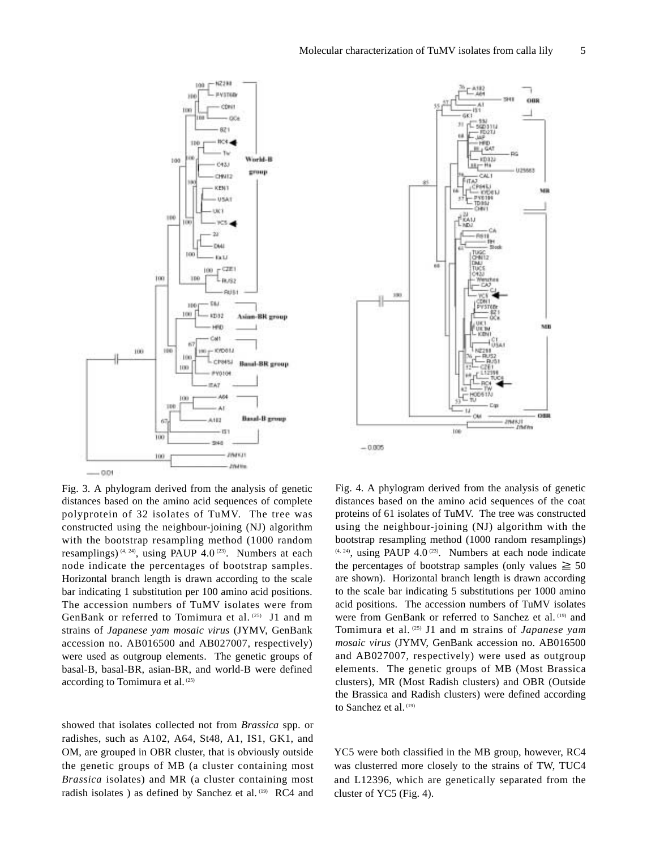

Fig. 3. A phylogram derived from the analysis of genetic distances based on the amino acid sequences of complete polyprotein of 32 isolates of TuMV. The tree was constructed using the neighbour-joining (NJ) algorithm with the bootstrap resampling method (1000 random resamplings)  $(4, 24)$ , using PAUP 4.0  $(23)$ . Numbers at each node indicate the percentages of bootstrap samples. Horizontal branch length is drawn according to the scale bar indicating 1 substitution per 100 amino acid positions. The accession numbers of TuMV isolates were from GenBank or referred to Tomimura et al.<sup>(25)</sup> J1 and m strains of *Japanese yam mosaic virus* (JYMV, GenBank accession no. AB016500 and AB027007, respectively) were used as outgroup elements. The genetic groups of basal-B, basal-BR, asian-BR, and world-B were defined according to Tomimura et al. (25)

showed that isolates collected not from *Brassica* spp. or radishes, such as A102, A64, St48, A1, IS1, GK1, and OM, are grouped in OBR cluster, that is obviously outside the genetic groups of MB (a cluster containing most *Brassica* isolates) and MR (a cluster containing most radish isolates ) as defined by Sanchez et al. (19) RC4 and



Fig. 4. A phylogram derived from the analysis of genetic distances based on the amino acid sequences of the coat proteins of 61 isolates of TuMV. The tree was constructed using the neighbour-joining (NJ) algorithm with the bootstrap resampling method (1000 random resamplings)  $(4, 24)$ , using PAUP 4.0<sup>(23)</sup>. Numbers at each node indicate the percentages of bootstrap samples (only values  $\geq 50$ are shown). Horizontal branch length is drawn according to the scale bar indicating 5 substitutions per 1000 amino acid positions. The accession numbers of TuMV isolates were from GenBank or referred to Sanchez et al. (19) and Tomimura et al. (25) J1 and m strains of *Japanese yam mosaic virus* (JYMV, GenBank accession no. AB016500 and AB027007, respectively) were used as outgroup elements. The genetic groups of MB (Most Brassica clusters), MR (Most Radish clusters) and OBR (Outside the Brassica and Radish clusters) were defined according to Sanchez et al. (19)

YC5 were both classified in the MB group, however, RC4 was clusterred more closely to the strains of TW, TUC4 and L12396, which are genetically separated from the cluster of YC5 (Fig. 4).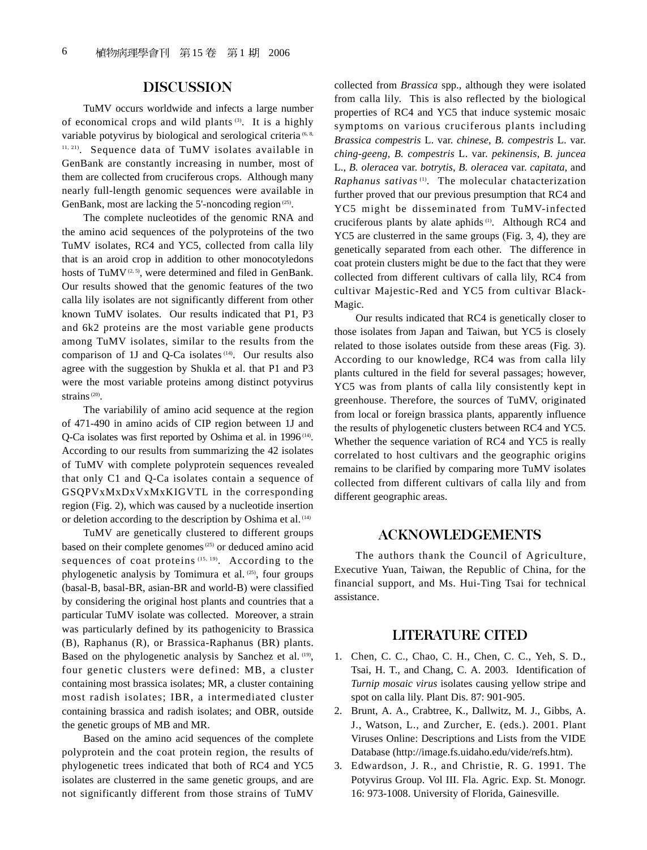# DISCUSSION

TuMV occurs worldwide and infects a large number of economical crops and wild plants (3). It is a highly variable potyvirus by biological and serological criteria<sup>(6, 8,</sup>  $11, 21$ ). Sequence data of TuMV isolates available in GenBank are constantly increasing in number, most of them are collected from cruciferous crops. Although many nearly full-length genomic sequences were available in GenBank, most are lacking the 5'-noncoding region  $(25)$ .

The complete nucleotides of the genomic RNA and the amino acid sequences of the polyproteins of the two TuMV isolates, RC4 and YC5, collected from calla lily that is an aroid crop in addition to other monocotyledons hosts of TuMV<sup> $(2, 5)$ </sup>, were determined and filed in GenBank. Our results showed that the genomic features of the two calla lily isolates are not significantly different from other known TuMV isolates. Our results indicated that P1, P3 and 6k2 proteins are the most variable gene products among TuMV isolates, similar to the results from the comparison of 1J and Q-Ca isolates (14). Our results also agree with the suggestion by Shukla et al. that P1 and P3 were the most variable proteins among distinct potyvirus strains<sup>(20)</sup>.

The variabilily of amino acid sequence at the region of 471-490 in amino acids of CIP region between 1J and Q-Ca isolates was first reported by Oshima et al. in 1996 (14). According to our results from summarizing the 42 isolates of TuMV with complete polyprotein sequences revealed that only C1 and Q-Ca isolates contain a sequence of GSQPVxMxDxVxMxKIGVTL in the corresponding region (Fig. 2), which was caused by a nucleotide insertion or deletion according to the description by Oshima et al. (14)

TuMV are genetically clustered to different groups based on their complete genomes<sup>(25)</sup> or deduced amino acid sequences of coat proteins (15, 19). According to the phylogenetic analysis by Tomimura et al. (25), four groups (basal-B, basal-BR, asian-BR and world-B) were classified by considering the original host plants and countries that a particular TuMV isolate was collected. Moreover, a strain was particularly defined by its pathogenicity to Brassica (B), Raphanus (R), or Brassica-Raphanus (BR) plants. Based on the phylogenetic analysis by Sanchez et al. (19), four genetic clusters were defined: MB, a cluster containing most brassica isolates; MR, a cluster containing most radish isolates; IBR, a intermediated cluster containing brassica and radish isolates; and OBR, outside the genetic groups of MB and MR.

Based on the amino acid sequences of the complete polyprotein and the coat protein region, the results of phylogenetic trees indicated that both of RC4 and YC5 isolates are clusterred in the same genetic groups, and are not significantly different from those strains of TuMV

collected from *Brassica* spp., although they were isolated from calla lily. This is also reflected by the biological properties of RC4 and YC5 that induce systemic mosaic symptoms on various cruciferous plants including *Brassica compestris* L. var. *chinese*, *B. compestris* L. var. *ching-geeng*, *B. compestris* L. var. *pekinensis*, *B. juncea* L., *B. oleracea* var. *botrytis*, *B. oleracea* var. *capitata*, and *Raphanus sativas* (1). The molecular chatacterization further proved that our previous presumption that RC4 and YC5 might be disseminated from TuMV-infected cruciferous plants by alate aphids (1). Although RC4 and YC5 are clusterred in the same groups (Fig. 3, 4), they are genetically separated from each other. The difference in coat protein clusters might be due to the fact that they were collected from different cultivars of calla lily, RC4 from cultivar Majestic-Red and YC5 from cultivar Black-Magic.

Our results indicated that RC4 is genetically closer to those isolates from Japan and Taiwan, but YC5 is closely related to those isolates outside from these areas (Fig. 3). According to our knowledge, RC4 was from calla lily plants cultured in the field for several passages; however, YC5 was from plants of calla lily consistently kept in greenhouse. Therefore, the sources of TuMV, originated from local or foreign brassica plants, apparently influence the results of phylogenetic clusters between RC4 and YC5. Whether the sequence variation of RC4 and YC5 is really correlated to host cultivars and the geographic origins remains to be clarified by comparing more TuMV isolates collected from different cultivars of calla lily and from different geographic areas.

### ACKNOWLEDGEMENTS

The authors thank the Council of Agriculture, Executive Yuan, Taiwan, the Republic of China, for the financial support, and Ms. Hui-Ting Tsai for technical assistance.

### LITERATURE CITED

- 1. Chen, C. C., Chao, C. H., Chen, C. C., Yeh, S. D., Tsai, H. T., and Chang, C. A. 2003. Identification of *Turnip mosaic virus* isolates causing yellow stripe and spot on calla lily. Plant Dis. 87: 901-905.
- 2. Brunt, A. A., Crabtree, K., Dallwitz, M. J., Gibbs, A. J., Watson, L., and Zurcher, E. (eds.). 2001. Plant Viruses Online: Descriptions and Lists from the VIDE Database (http://image.fs.uidaho.edu/vide/refs.htm).
- 3. Edwardson, J. R., and Christie, R. G. 1991. The Potyvirus Group. Vol III. Fla. Agric. Exp. St. Monogr. 16: 973-1008. University of Florida, Gainesville.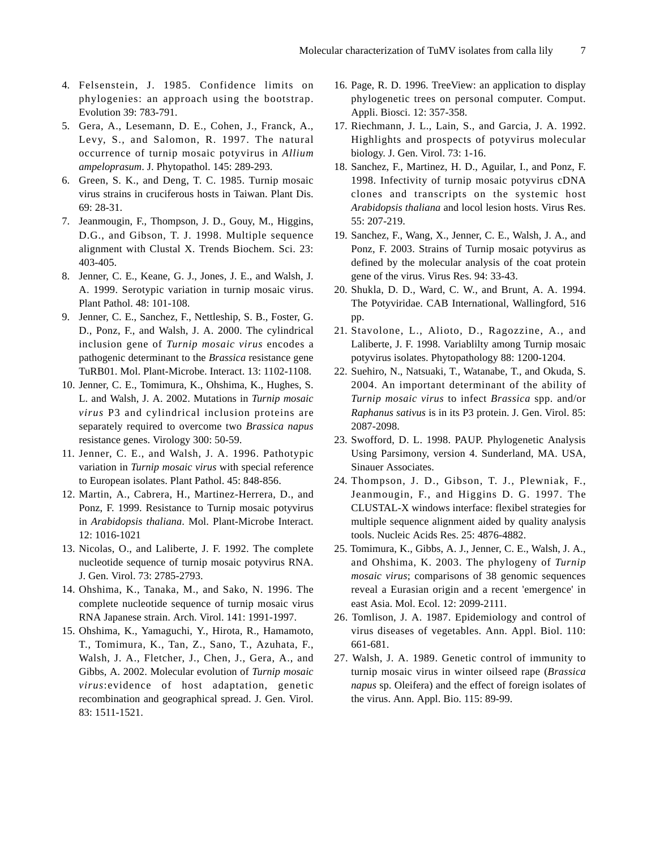- 4. Felsenstein, J. 1985. Confidence limits on phylogenies: an approach using the bootstrap. Evolution 39: 783-791.
- 5. Gera, A., Lesemann, D. E., Cohen, J., Franck, A., Levy, S., and Salomon, R. 1997. The natural occurrence of turnip mosaic potyvirus in *Allium ampeloprasum*. J. Phytopathol. 145: 289-293.
- 6. Green, S. K., and Deng, T. C. 1985. Turnip mosaic virus strains in cruciferous hosts in Taiwan. Plant Dis. 69: 28-31.
- 7. Jeanmougin, F., Thompson, J. D., Gouy, M., Higgins, D.G., and Gibson, T. J. 1998. Multiple sequence alignment with Clustal X. Trends Biochem. Sci. 23: 403-405.
- 8. Jenner, C. E., Keane, G. J., Jones, J. E., and Walsh, J. A. 1999. Serotypic variation in turnip mosaic virus. Plant Pathol. 48: 101-108.
- 9. Jenner, C. E., Sanchez, F., Nettleship, S. B., Foster, G. D., Ponz, F., and Walsh, J. A. 2000. The cylindrical inclusion gene of *Turnip mosaic virus* encodes a pathogenic determinant to the *Brassica* resistance gene TuRB01. Mol. Plant-Microbe. Interact. 13: 1102-1108.
- 10. Jenner, C. E., Tomimura, K., Ohshima, K., Hughes, S. L. and Walsh, J. A. 2002. Mutations in *Turnip mosaic virus* P3 and cylindrical inclusion proteins are separately required to overcome two *Brassica napus* resistance genes. Virology 300: 50-59.
- 11. Jenner, C. E., and Walsh, J. A. 1996. Pathotypic variation in *Turnip mosaic virus* with special reference to European isolates. Plant Pathol. 45: 848-856.
- 12. Martin, A., Cabrera, H., Martinez-Herrera, D., and Ponz, F. 1999. Resistance to Turnip mosaic potyvirus in *Arabidopsis thaliana*. Mol. Plant-Microbe Interact. 12: 1016-1021
- 13. Nicolas, O., and Laliberte, J. F. 1992. The complete nucleotide sequence of turnip mosaic potyvirus RNA. J. Gen. Virol. 73: 2785-2793.
- 14. Ohshima, K., Tanaka, M., and Sako, N. 1996. The complete nucleotide sequence of turnip mosaic virus RNA Japanese strain. Arch. Virol. 141: 1991-1997.
- 15. Ohshima, K., Yamaguchi, Y., Hirota, R., Hamamoto, T., Tomimura, K., Tan, Z., Sano, T., Azuhata, F., Walsh, J. A., Fletcher, J., Chen, J., Gera, A., and Gibbs, A. 2002. Molecular evolution of *Turnip mosaic virus*:evidence of host adaptation, genetic recombination and geographical spread. J. Gen. Virol. 83: 1511-1521.
- 16. Page, R. D. 1996. TreeView: an application to display phylogenetic trees on personal computer. Comput. Appli. Biosci. 12: 357-358.
- 17. Riechmann, J. L., Lain, S., and Garcia, J. A. 1992. Highlights and prospects of potyvirus molecular biology. J. Gen. Virol. 73: 1-16.
- 18. Sanchez, F., Martinez, H. D., Aguilar, I., and Ponz, F. 1998. Infectivity of turnip mosaic potyvirus cDNA clones and transcripts on the systemic host *Arabidopsis thaliana* and locol lesion hosts. Virus Res. 55: 207-219.
- 19. Sanchez, F., Wang, X., Jenner, C. E., Walsh, J. A., and Ponz, F. 2003. Strains of Turnip mosaic potyvirus as defined by the molecular analysis of the coat protein gene of the virus. Virus Res. 94: 33-43.
- 20. Shukla, D. D., Ward, C. W., and Brunt, A. A. 1994. The Potyviridae. CAB International, Wallingford, 516 pp.
- 21. Stavolone, L., Alioto, D., Ragozzine, A., and Laliberte, J. F. 1998. Variablilty among Turnip mosaic potyvirus isolates. Phytopathology 88: 1200-1204.
- 22. Suehiro, N., Natsuaki, T., Watanabe, T., and Okuda, S. 2004. An important determinant of the ability of *Turnip mosaic virus* to infect *Brassica* spp. and/or *Raphanus sativus* is in its P3 protein. J. Gen. Virol. 85: 2087-2098.
- 23. Swofford, D. L. 1998. PAUP. Phylogenetic Analysis Using Parsimony, version 4. Sunderland, MA. USA, Sinauer Associates.
- 24. Thompson, J. D., Gibson, T. J., Plewniak, F., Jeanmougin, F., and Higgins D. G. 1997. The CLUSTAL-X windows interface: flexibel strategies for multiple sequence alignment aided by quality analysis tools. Nucleic Acids Res. 25: 4876-4882.
- 25. Tomimura, K., Gibbs, A. J., Jenner, C. E., Walsh, J. A., and Ohshima, K. 2003. The phylogeny of *Turnip mosaic virus*; comparisons of 38 genomic sequences reveal a Eurasian origin and a recent 'emergence' in east Asia. Mol. Ecol. 12: 2099-2111.
- 26. Tomlison, J. A. 1987. Epidemiology and control of virus diseases of vegetables. Ann. Appl. Biol. 110: 661-681.
- 27. Walsh, J. A. 1989. Genetic control of immunity to turnip mosaic virus in winter oilseed rape (*Brassica napus* sp. Oleifera) and the effect of foreign isolates of the virus. Ann. Appl. Bio. 115: 89-99.